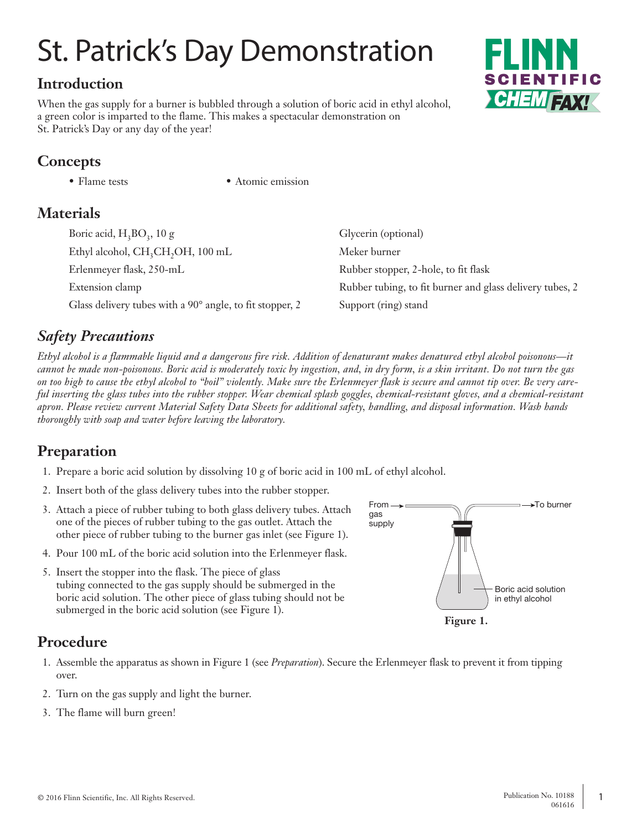# St. Patrick's Day Demonstration

## **Introduction**

When the gas supply for a burner is bubbled through a solution of boric acid in ethyl alcohol, a green color is imparted to the flame. This makes a spectacular demonstration on St. Patrick's Day or any day of the year!

## **Concepts**

• Flame tests • Atomic emission

## **Materials**

| Boric acid, $H_3BO_3$ , 10 g                                          | Glycerin (optional)                                      |
|-----------------------------------------------------------------------|----------------------------------------------------------|
| Ethyl alcohol, CH <sub>3</sub> CH <sub>2</sub> OH <sub>2</sub> 100 mL | Meker burner                                             |
| Erlenmeyer flask, 250-mL                                              | Rubber stopper, 2-hole, to fit flask                     |
| Extension clamp                                                       | Rubber tubing, to fit burner and glass delivery tubes, 2 |
| Glass delivery tubes with a 90° angle, to fit stopper, 2              | Support (ring) stand                                     |

## *Safety Precautions*

*Ethyl alcohol is a flammable liquid and a dangerous fire risk. Addition of denaturant makes denatured ethyl alcohol poisonous—it cannot be made non-poisonous. Boric acid is moderately toxic by ingestion, and, in dry form, is a skin irritant. Do not turn the gas on too high to cause the ethyl alcohol to "boil" violently. Make sure the Erlenmeyer flask is secure and cannot tip over. Be very careful inserting the glass tubes into the rubber stopper. Wear chemical splash goggles, chemical-resistant gloves, and a chemical-resistant apron. Please review current Material Safety Data Sheets for additional safety, handling, and disposal information. Wash hands thoroughly with soap and water before leaving the laboratory.*

## **Preparation**

- 1. Prepare a boric acid solution by dissolving 10 g of boric acid in 100 mL of ethyl alcohol.
- 2. Insert both of the glass delivery tubes into the rubber stopper.
- 3. Attach a piece of rubber tubing to both glass delivery tubes. Attach one of the pieces of rubber tubing to the gas outlet. Attach the other piece of rubber tubing to the burner gas inlet (see Figure 1).
- 4. Pour 100 mL of the boric acid solution into the Erlenmeyer flask.
- 5. Insert the stopper into the flask. The piece of glass tubing connected to the gas supply should be submerged in the boric acid solution. The other piece of glass tubing should not be submerged in the boric acid solution (see Figure 1).



# **Procedure**

- 1. Assemble the apparatus as shown in Figure 1 (see *Preparation*). Secure the Erlenmeyer flask to prevent it from tipping over.
- 2. Turn on the gas supply and light the burner.
- 3. The flame will burn green!

SCIENTIFIC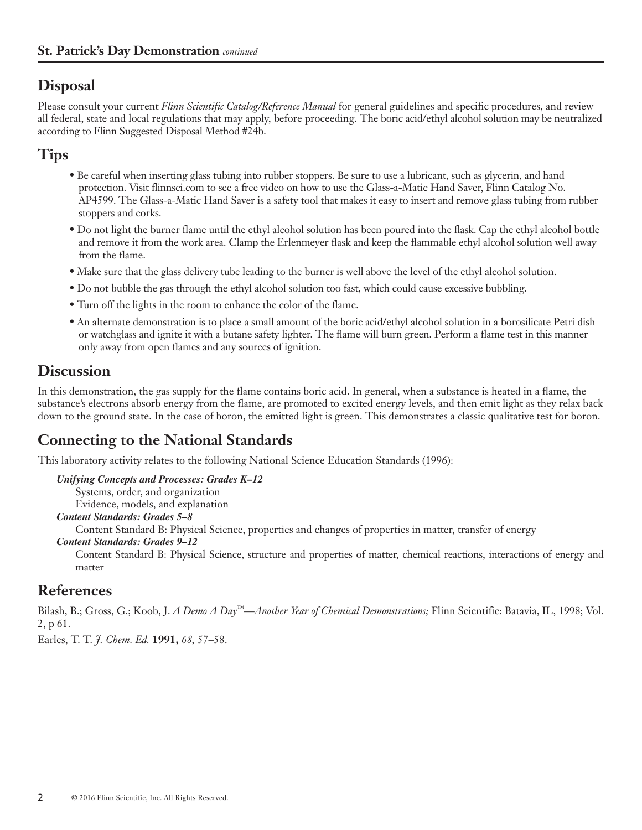## **Disposal**

Please consult your current *Flinn Scientific Catalog/Reference Manual* for general guidelines and specific procedures, and review all federal, state and local regulations that may apply, before proceeding. The boric acid/ethyl alcohol solution may be neutralized according to Flinn Suggested Disposal Method #24b.

## **Tips**

- Be careful when inserting glass tubing into rubber stoppers. Be sure to use a lubricant, such as glycerin, and hand protection. Visit flinnsci.com to see a free video on how to use the Glass-a-Matic Hand Saver, Flinn Catalog No. AP4599. The Glass-a-Matic Hand Saver is a safety tool that makes it easy to insert and remove glass tubing from rubber stoppers and corks.
- Do not light the burner flame until the ethyl alcohol solution has been poured into the flask. Cap the ethyl alcohol bottle and remove it from the work area. Clamp the Erlenmeyer flask and keep the flammable ethyl alcohol solution well away from the flame.
- Make sure that the glass delivery tube leading to the burner is well above the level of the ethyl alcohol solution.
- Do not bubble the gas through the ethyl alcohol solution too fast, which could cause excessive bubbling.
- Turn off the lights in the room to enhance the color of the flame.
- An alternate demonstration is to place a small amount of the boric acid/ethyl alcohol solution in a borosilicate Petri dish or watchglass and ignite it with a butane safety lighter. The flame will burn green. Perform a flame test in this manner only away from open flames and any sources of ignition.

### **Discussion**

In this demonstration, the gas supply for the flame contains boric acid. In general, when a substance is heated in a flame, the substance's electrons absorb energy from the flame, are promoted to excited energy levels, and then emit light as they relax back down to the ground state. In the case of boron, the emitted light is green. This demonstrates a classic qualitative test for boron.

## **Connecting to the National Standards**

This laboratory activity relates to the following National Science Education Standards (1996):

*Unifying Concepts and Processes: Grades K–12* Systems, order, and organization Evidence, models, and explanation

*Content Standards: Grades 5–8*

Content Standard B: Physical Science, properties and changes of properties in matter, transfer of energy

*Content Standards: Grades 9–12*

Content Standard B: Physical Science, structure and properties of matter, chemical reactions, interactions of energy and matter

#### **References**

Bilash, B.; Gross, G.; Koob, J. *A Demo A Day™—Another Year of Chemical Demonstrations;* Flinn Scientific: Batavia, IL, 1998; Vol. 2, p 61.

Earles, T. T. *J. Chem. Ed.* **1991,** *68,* 57–58.